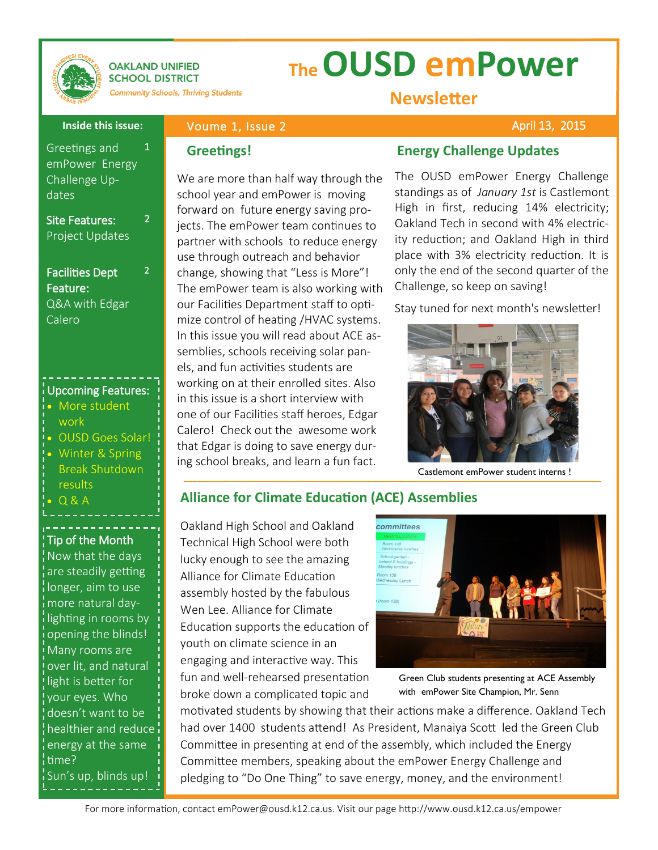

#### **OAKLAND UNIFIED SCHOOL DISTRICT Community Schools, Thriving Students**

Voume 1, Issue 2

# **The OUSD emPower**

2

2

### **Newsletter**

April 13, 2015

### **Inside this issue:**

Greetings and emPower Energy Challenge Updates 1

Site Features: Project Updates

### Facilities Dept Feature: Q&A with Edgar

Calero

### Upcoming Features:

- More student work
- OUSD Goes Solar!
- Winter & Spring Break Shutdown results
- Q & A

## Tip of the Month

Now that the days are steadily getting longer, aim to use more natural dayi lighting in rooms by opening the blinds! .<br>Many rooms are over lit, and natural light is better for your eyes. Who doesn't want to be **healthier and reduce** energy at the same time? Sun's up, blinds up!

We are more than half way through the school year and emPower is moving forward on future energy saving projects. The emPower team continues to partner with schools to reduce energy use through outreach and behavior change, showing that "Less is More"! The emPower team is also working with our Facilities Department staff to optimize control of heating /HVAC systems. In this issue you will read about ACE assemblies, schools receiving solar panels, and fun activities students are working on at their enrolled sites. Also in this issue is a short interview with one of our Facilities staff heroes, Edgar Calero! Check out the awesome work that Edgar is doing to save energy during school breaks, and learn a fun fact.

### **Greetings! Energy Challenge Updates**

The OUSD emPower Energy Challenge standings as of *January 1st* is Castlemont High in first, reducing 14% electricity; Oakland Tech in second with 4% electricity reduction; and Oakland High in third place with 3% electricity reduction. It is only the end of the second quarter of the Challenge, so keep on saving!

Stay tuned for next month's newsletter!



Castlemont emPower student interns !

### **Alliance for Climate Education (ACE) Assemblies**

Oakland High School and Oakland Technical High School were both lucky enough to see the amazing Alliance for Climate Education assembly hosted by the fabulous Wen Lee. Alliance for Climate Education supports the education of youth on climate science in an engaging and interactive way. This fun and well-rehearsed presentation broke down a complicated topic and



Green Club students presenting at ACE Assembly with emPower Site Champion, Mr. Senn

motivated students by showing that their actions make a difference. Oakland Tech had over 1400 students attend! As President, Manaiya Scott led the Green Club Committee in presenting at end of the assembly, which included the Energy Committee members, speaking about the emPower Energy Challenge and pledging to "Do One Thing" to save energy, money, and the environment!